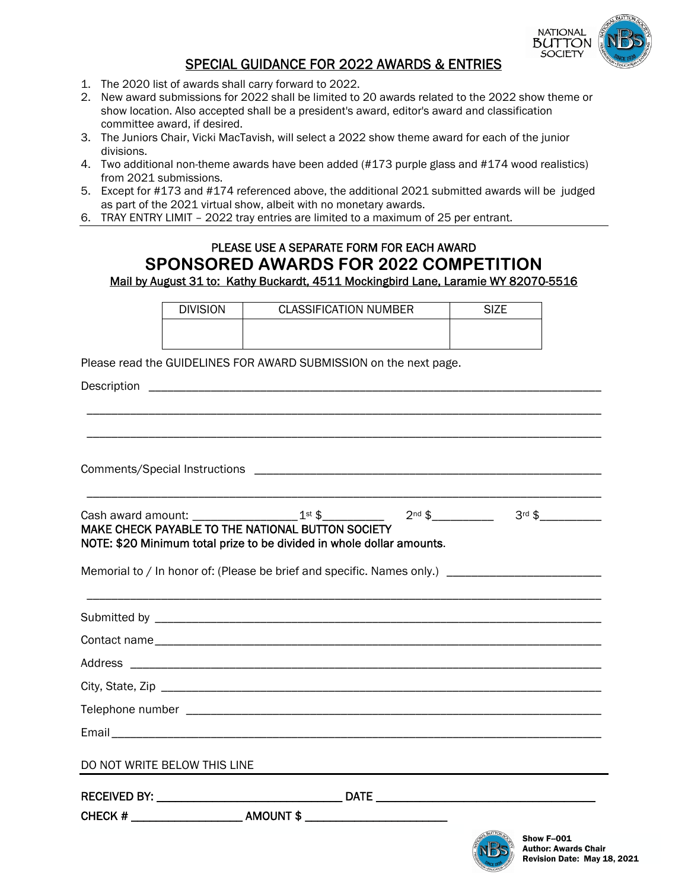

## SPECIAL GUIDANCE FOR 2022 AWARDS & ENTRIES

- 1. The 2020 list of awards shall carry forward to 2022.
- 2. New award submissions for 2022 shall be limited to 20 awards related to the 2022 show theme or show location. Also accepted shall be a president's award, editor's award and classification committee award, if desired.
- 3. The Juniors Chair, Vicki MacTavish, will select a 2022 show theme award for each of the junior divisions.
- 4. Two additional non-theme awards have been added (#173 purple glass and #174 wood realistics) from 2021 submissions.
- 5. Except for #173 and #174 referenced above, the additional 2021 submitted awards will be judged as part of the 2021 virtual show, albeit with no monetary awards.
- 6. TRAY ENTRY LIMIT 2022 tray entries are limited to a maximum of 25 per entrant.

## PLEASE USE A SEPARATE FORM FOR EACH AWARD **SPONSORED AWARDS FOR 2022 COMPETITION**  Mail by August 31 to: Kathy Buckardt, 4511 Mockingbird Lane, Laramie WY 82070-5516

|                              | <b>DIVISION</b>                                   | <b>CLASSIFICATION NUMBER</b>                                                                                         | <b>SIZE</b>                                                                                                                           |
|------------------------------|---------------------------------------------------|----------------------------------------------------------------------------------------------------------------------|---------------------------------------------------------------------------------------------------------------------------------------|
|                              |                                                   |                                                                                                                      |                                                                                                                                       |
|                              |                                                   | Please read the GUIDELINES FOR AWARD SUBMISSION on the next page.                                                    |                                                                                                                                       |
|                              |                                                   |                                                                                                                      |                                                                                                                                       |
|                              |                                                   |                                                                                                                      |                                                                                                                                       |
|                              |                                                   |                                                                                                                      |                                                                                                                                       |
|                              |                                                   |                                                                                                                      |                                                                                                                                       |
|                              |                                                   |                                                                                                                      |                                                                                                                                       |
|                              |                                                   |                                                                                                                      |                                                                                                                                       |
|                              |                                                   |                                                                                                                      | Cash award amount: _____________________1 <sup>st</sup> \$___________  2 <sup>nd</sup> \$___________  3 <sup>rd</sup> \$_____________ |
|                              | MAKE CHECK PAYABLE TO THE NATIONAL BUTTON SOCIETY | NOTE: \$20 Minimum total prize to be divided in whole dollar amounts.                                                |                                                                                                                                       |
|                              |                                                   |                                                                                                                      |                                                                                                                                       |
|                              |                                                   |                                                                                                                      | Memorial to / In honor of: (Please be brief and specific. Names only.) ____________________________                                   |
|                              |                                                   | <u> 1989 - Andrea Santa Andrea Andrea Andrea Andrea Andrea Andrea Andrea Andrea Andrea Andrea Andrea Andrea Andr</u> |                                                                                                                                       |
|                              |                                                   |                                                                                                                      |                                                                                                                                       |
|                              |                                                   |                                                                                                                      |                                                                                                                                       |
|                              |                                                   |                                                                                                                      |                                                                                                                                       |
|                              |                                                   |                                                                                                                      |                                                                                                                                       |
|                              |                                                   |                                                                                                                      |                                                                                                                                       |
|                              |                                                   |                                                                                                                      |                                                                                                                                       |
| DO NOT WRITE BELOW THIS LINE |                                                   |                                                                                                                      |                                                                                                                                       |
|                              |                                                   |                                                                                                                      |                                                                                                                                       |
|                              |                                                   |                                                                                                                      |                                                                                                                                       |
|                              |                                                   |                                                                                                                      | Show F-001                                                                                                                            |